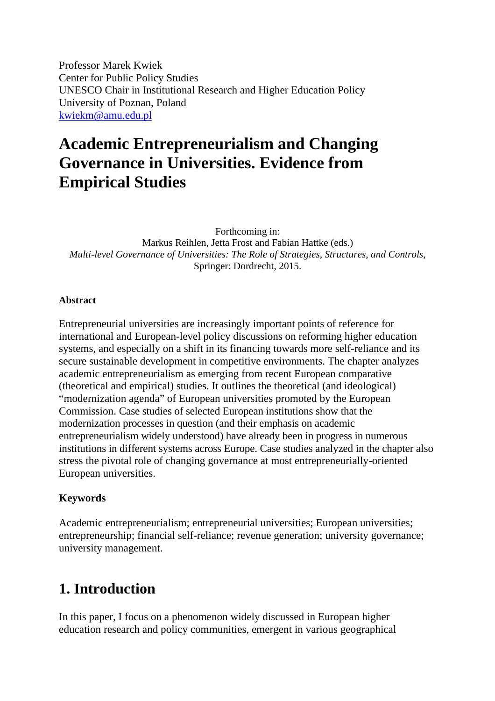Professor Marek Kwiek Center for Public Policy Studies UNESCO Chair in Institutional Research and Higher Education Policy University of Poznan, Poland kwiekm@amu.edu.pl

# **Academic Entrepreneurialism and Changing Governance in Universities. Evidence from Empirical Studies**

Forthcoming in: Markus Reihlen, Jetta Frost and Fabian Hattke (eds.) *Multi-level Governance of Universities: The Role of Strategies, Structures, and Controls*, Springer: Dordrecht, 2015.

### **Abstract**

Entrepreneurial universities are increasingly important points of reference for international and European-level policy discussions on reforming higher education systems, and especially on a shift in its financing towards more self-reliance and its secure sustainable development in competitive environments. The chapter analyzes academic entrepreneurialism as emerging from recent European comparative (theoretical and empirical) studies. It outlines the theoretical (and ideological) "modernization agenda" of European universities promoted by the European Commission. Case studies of selected European institutions show that the modernization processes in question (and their emphasis on academic entrepreneurialism widely understood) have already been in progress in numerous institutions in different systems across Europe. Case studies analyzed in the chapter also stress the pivotal role of changing governance at most entrepreneurially-oriented European universities.

### **Keywords**

Academic entrepreneurialism; entrepreneurial universities; European universities; entrepreneurship; financial self-reliance; revenue generation; university governance; university management.

## **1. Introduction**

In this paper, I focus on a phenomenon widely discussed in European higher education research and policy communities, emergent in various geographical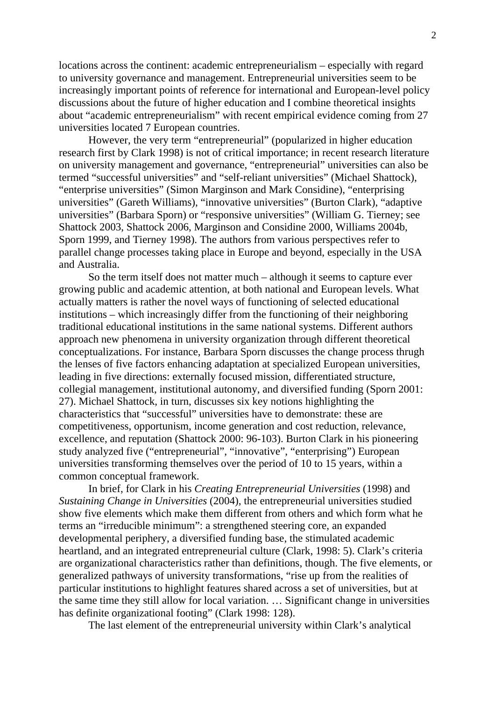locations across the continent: academic entrepreneurialism – especially with regard to university governance and management. Entrepreneurial universities seem to be increasingly important points of reference for international and European-level policy discussions about the future of higher education and I combine theoretical insights about "academic entrepreneurialism" with recent empirical evidence coming from 27 universities located 7 European countries.

However, the very term "entrepreneurial" (popularized in higher education research first by Clark 1998) is not of critical importance; in recent research literature on university management and governance, "entrepreneurial" universities can also be termed "successful universities" and "self-reliant universities" (Michael Shattock), "enterprise universities" (Simon Marginson and Mark Considine), "enterprising universities" (Gareth Williams), "innovative universities" (Burton Clark), "adaptive universities" (Barbara Sporn) or "responsive universities" (William G. Tierney; see Shattock 2003, Shattock 2006, Marginson and Considine 2000, Williams 2004b, Sporn 1999, and Tierney 1998). The authors from various perspectives refer to parallel change processes taking place in Europe and beyond, especially in the USA and Australia.

So the term itself does not matter much – although it seems to capture ever growing public and academic attention, at both national and European levels. What actually matters is rather the novel ways of functioning of selected educational institutions – which increasingly differ from the functioning of their neighboring traditional educational institutions in the same national systems. Different authors approach new phenomena in university organization through different theoretical conceptualizations. For instance, Barbara Sporn discusses the change process thrugh the lenses of five factors enhancing adaptation at specialized European universities, leading in five directions: externally focused mission, differentiated structure, collegial management, institutional autonomy, and diversified funding (Sporn 2001: 27). Michael Shattock, in turn, discusses six key notions highlighting the characteristics that "successful" universities have to demonstrate: these are competitiveness, opportunism, income generation and cost reduction, relevance, excellence, and reputation (Shattock 2000: 96-103). Burton Clark in his pioneering study analyzed five ("entrepreneurial", "innovative", "enterprising") European universities transforming themselves over the period of 10 to 15 years, within a common conceptual framework.

In brief, for Clark in his *Creating Entrepreneurial Universities* (1998) and *Sustaining Change in Universities* (2004), the entrepreneurial universities studied show five elements which make them different from others and which form what he terms an "irreducible minimum": a strengthened steering core, an expanded developmental periphery, a diversified funding base, the stimulated academic heartland, and an integrated entrepreneurial culture (Clark, 1998: 5). Clark's criteria are organizational characteristics rather than definitions, though. The five elements, or generalized pathways of university transformations, "rise up from the realities of particular institutions to highlight features shared across a set of universities, but at the same time they still allow for local variation. … Significant change in universities has definite organizational footing" (Clark 1998: 128).

The last element of the entrepreneurial university within Clark's analytical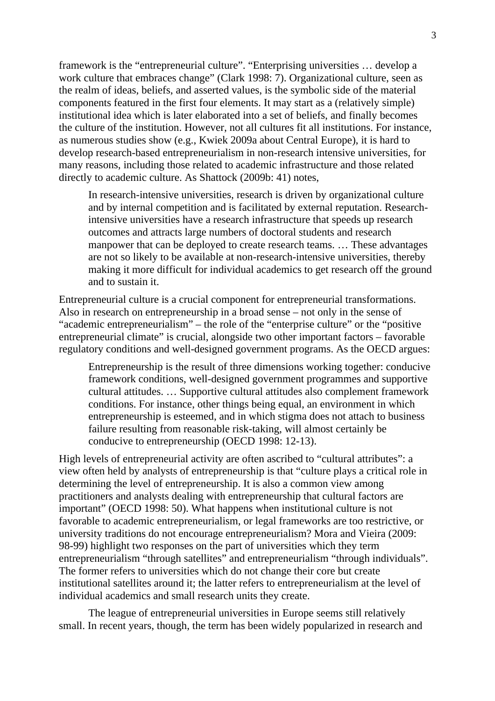framework is the "entrepreneurial culture". "Enterprising universities … develop a work culture that embraces change" (Clark 1998: 7). Organizational culture, seen as the realm of ideas, beliefs, and asserted values, is the symbolic side of the material components featured in the first four elements. It may start as a (relatively simple) institutional idea which is later elaborated into a set of beliefs, and finally becomes the culture of the institution. However, not all cultures fit all institutions. For instance, as numerous studies show (e.g., Kwiek 2009a about Central Europe), it is hard to develop research-based entrepreneurialism in non-research intensive universities, for many reasons, including those related to academic infrastructure and those related directly to academic culture. As Shattock (2009b: 41) notes,

In research-intensive universities, research is driven by organizational culture and by internal competition and is facilitated by external reputation. Researchintensive universities have a research infrastructure that speeds up research outcomes and attracts large numbers of doctoral students and research manpower that can be deployed to create research teams. … These advantages are not so likely to be available at non-research-intensive universities, thereby making it more difficult for individual academics to get research off the ground and to sustain it.

Entrepreneurial culture is a crucial component for entrepreneurial transformations. Also in research on entrepreneurship in a broad sense – not only in the sense of "academic entrepreneurialism" – the role of the "enterprise culture" or the "positive entrepreneurial climate" is crucial, alongside two other important factors – favorable regulatory conditions and well-designed government programs. As the OECD argues:

Entrepreneurship is the result of three dimensions working together: conducive framework conditions, well-designed government programmes and supportive cultural attitudes. … Supportive cultural attitudes also complement framework conditions. For instance, other things being equal, an environment in which entrepreneurship is esteemed, and in which stigma does not attach to business failure resulting from reasonable risk-taking, will almost certainly be conducive to entrepreneurship (OECD 1998: 12-13).

High levels of entrepreneurial activity are often ascribed to "cultural attributes": a view often held by analysts of entrepreneurship is that "culture plays a critical role in determining the level of entrepreneurship. It is also a common view among practitioners and analysts dealing with entrepreneurship that cultural factors are important" (OECD 1998: 50). What happens when institutional culture is not favorable to academic entrepreneurialism, or legal frameworks are too restrictive, or university traditions do not encourage entrepreneurialism? Mora and Vieira (2009: 98-99) highlight two responses on the part of universities which they term entrepreneurialism "through satellites" and entrepreneurialism "through individuals". The former refers to universities which do not change their core but create institutional satellites around it; the latter refers to entrepreneurialism at the level of individual academics and small research units they create.

The league of entrepreneurial universities in Europe seems still relatively small. In recent years, though, the term has been widely popularized in research and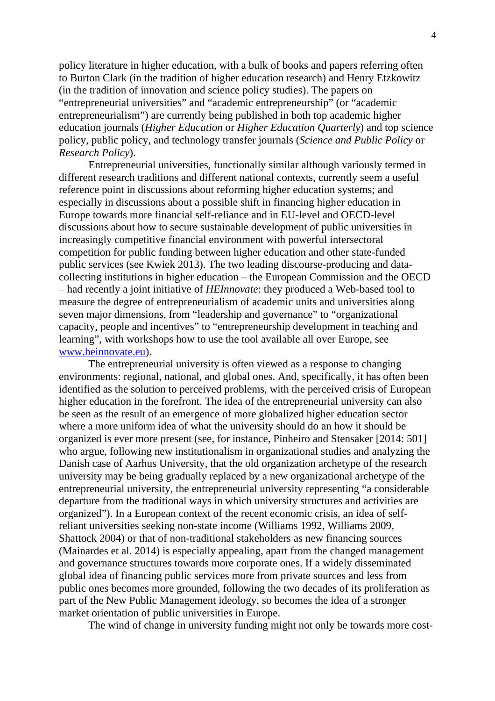policy literature in higher education, with a bulk of books and papers referring often to Burton Clark (in the tradition of higher education research) and Henry Etzkowitz (in the tradition of innovation and science policy studies). The papers on "entrepreneurial universities" and "academic entrepreneurship" (or "academic entrepreneurialism") are currently being published in both top academic higher education journals (*Higher Education* or *Higher Education Quarterly*) and top science policy, public policy, and technology transfer journals (*Science and Public Policy* or *Research Policy*).

Entrepreneurial universities, functionally similar although variously termed in different research traditions and different national contexts, currently seem a useful reference point in discussions about reforming higher education systems; and especially in discussions about a possible shift in financing higher education in Europe towards more financial self-reliance and in EU-level and OECD-level discussions about how to secure sustainable development of public universities in increasingly competitive financial environment with powerful intersectoral competition for public funding between higher education and other state-funded public services (see Kwiek 2013). The two leading discourse-producing and datacollecting institutions in higher education – the European Commission and the OECD – had recently a joint initiative of *HEInnovate*: they produced a Web-based tool to measure the degree of entrepreneurialism of academic units and universities along seven major dimensions, from "leadership and governance" to "organizational capacity, people and incentives" to "entrepreneurship development in teaching and learning", with workshops how to use the tool available all over Europe, see www.heinnovate.eu).

The entrepreneurial university is often viewed as a response to changing environments: regional, national, and global ones. And, specifically, it has often been identified as the solution to perceived problems, with the perceived crisis of European higher education in the forefront. The idea of the entrepreneurial university can also be seen as the result of an emergence of more globalized higher education sector where a more uniform idea of what the university should do an how it should be organized is ever more present (see, for instance, Pinheiro and Stensaker [2014: 501] who argue, following new institutionalism in organizational studies and analyzing the Danish case of Aarhus University, that the old organization archetype of the research university may be being gradually replaced by a new organizational archetype of the entrepreneurial university, the entrepreneurial university representing "a considerable departure from the traditional ways in which university structures and activities are organized"). In a European context of the recent economic crisis, an idea of selfreliant universities seeking non-state income (Williams 1992, Williams 2009, Shattock 2004) or that of non-traditional stakeholders as new financing sources (Mainardes et al. 2014) is especially appealing, apart from the changed management and governance structures towards more corporate ones. If a widely disseminated global idea of financing public services more from private sources and less from public ones becomes more grounded, following the two decades of its proliferation as part of the New Public Management ideology, so becomes the idea of a stronger market orientation of public universities in Europe.

The wind of change in university funding might not only be towards more cost-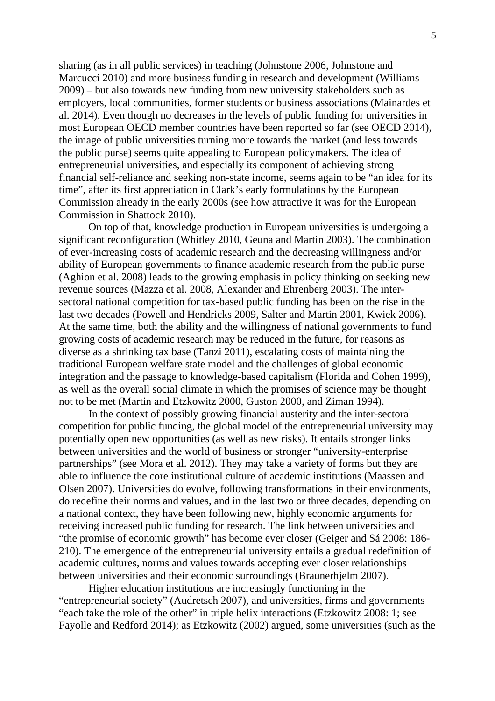sharing (as in all public services) in teaching (Johnstone 2006, Johnstone and Marcucci 2010) and more business funding in research and development (Williams 2009) – but also towards new funding from new university stakeholders such as employers, local communities, former students or business associations (Mainardes et al. 2014). Even though no decreases in the levels of public funding for universities in most European OECD member countries have been reported so far (see OECD 2014), the image of public universities turning more towards the market (and less towards the public purse) seems quite appealing to European policymakers. The idea of entrepreneurial universities, and especially its component of achieving strong financial self-reliance and seeking non-state income, seems again to be "an idea for its time", after its first appreciation in Clark's early formulations by the European Commission already in the early 2000s (see how attractive it was for the European Commission in Shattock 2010).

On top of that, knowledge production in European universities is undergoing a significant reconfiguration (Whitley 2010, Geuna and Martin 2003). The combination of ever-increasing costs of academic research and the decreasing willingness and/or ability of European governments to finance academic research from the public purse (Aghion et al. 2008) leads to the growing emphasis in policy thinking on seeking new revenue sources (Mazza et al. 2008, Alexander and Ehrenberg 2003). The intersectoral national competition for tax-based public funding has been on the rise in the last two decades (Powell and Hendricks 2009, Salter and Martin 2001, Kwiek 2006). At the same time, both the ability and the willingness of national governments to fund growing costs of academic research may be reduced in the future, for reasons as diverse as a shrinking tax base (Tanzi 2011), escalating costs of maintaining the traditional European welfare state model and the challenges of global economic integration and the passage to knowledge-based capitalism (Florida and Cohen 1999), as well as the overall social climate in which the promises of science may be thought not to be met (Martin and Etzkowitz 2000, Guston 2000, and Ziman 1994).

In the context of possibly growing financial austerity and the inter-sectoral competition for public funding, the global model of the entrepreneurial university may potentially open new opportunities (as well as new risks). It entails stronger links between universities and the world of business or stronger "university-enterprise partnerships" (see Mora et al. 2012). They may take a variety of forms but they are able to influence the core institutional culture of academic institutions (Maassen and Olsen 2007). Universities do evolve, following transformations in their environments, do redefine their norms and values, and in the last two or three decades, depending on a national context, they have been following new, highly economic arguments for receiving increased public funding for research. The link between universities and "the promise of economic growth" has become ever closer (Geiger and Sá 2008: 186- 210). The emergence of the entrepreneurial university entails a gradual redefinition of academic cultures, norms and values towards accepting ever closer relationships between universities and their economic surroundings (Braunerhjelm 2007).

Higher education institutions are increasingly functioning in the "entrepreneurial society" (Audretsch 2007), and universities, firms and governments "each take the role of the other" in triple helix interactions (Etzkowitz 2008: 1; see Fayolle and Redford 2014); as Etzkowitz (2002) argued, some universities (such as the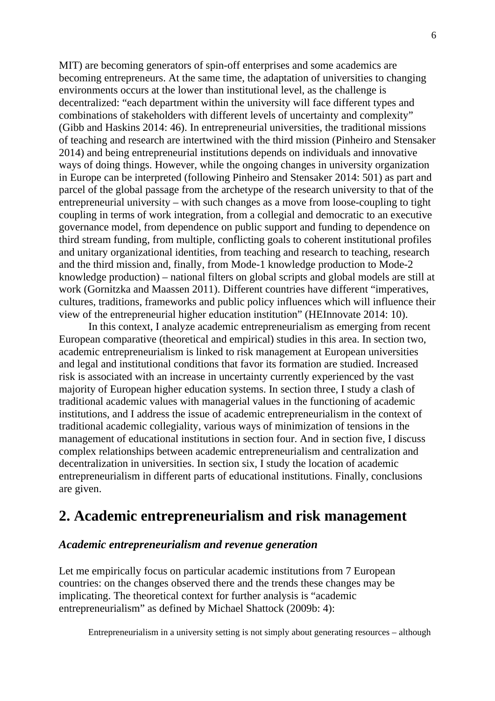MIT) are becoming generators of spin-off enterprises and some academics are becoming entrepreneurs. At the same time, the adaptation of universities to changing environments occurs at the lower than institutional level, as the challenge is decentralized: "each department within the university will face different types and combinations of stakeholders with different levels of uncertainty and complexity" (Gibb and Haskins 2014: 46). In entrepreneurial universities, the traditional missions of teaching and research are intertwined with the third mission (Pinheiro and Stensaker 2014) and being entrepreneurial institutions depends on individuals and innovative ways of doing things. However, while the ongoing changes in university organization in Europe can be interpreted (following Pinheiro and Stensaker 2014: 501) as part and parcel of the global passage from the archetype of the research university to that of the entrepreneurial university – with such changes as a move from loose-coupling to tight coupling in terms of work integration, from a collegial and democratic to an executive governance model, from dependence on public support and funding to dependence on third stream funding, from multiple, conflicting goals to coherent institutional profiles and unitary organizational identities, from teaching and research to teaching, research and the third mission and, finally, from Mode-1 knowledge production to Mode-2 knowledge production) – national filters on global scripts and global models are still at work (Gornitzka and Maassen 2011). Different countries have different "imperatives, cultures, traditions, frameworks and public policy influences which will influence their view of the entrepreneurial higher education institution" (HEInnovate 2014: 10).

In this context, I analyze academic entrepreneurialism as emerging from recent European comparative (theoretical and empirical) studies in this area. In section two, academic entrepreneurialism is linked to risk management at European universities and legal and institutional conditions that favor its formation are studied. Increased risk is associated with an increase in uncertainty currently experienced by the vast majority of European higher education systems. In section three, I study a clash of traditional academic values with managerial values in the functioning of academic institutions, and I address the issue of academic entrepreneurialism in the context of traditional academic collegiality, various ways of minimization of tensions in the management of educational institutions in section four. And in section five, I discuss complex relationships between academic entrepreneurialism and centralization and decentralization in universities. In section six, I study the location of academic entrepreneurialism in different parts of educational institutions. Finally, conclusions are given.

## **2. Academic entrepreneurialism and risk management**

### *Academic entrepreneurialism and revenue generation*

Let me empirically focus on particular academic institutions from 7 European countries: on the changes observed there and the trends these changes may be implicating. The theoretical context for further analysis is "academic entrepreneurialism" as defined by Michael Shattock (2009b: 4):

Entrepreneurialism in a university setting is not simply about generating resources – although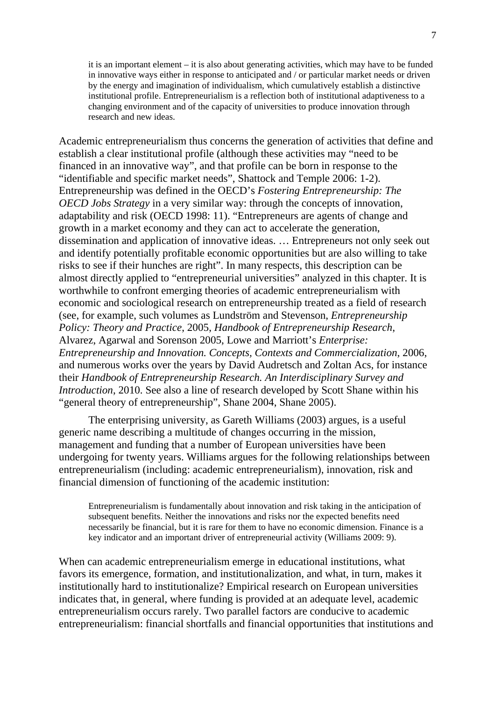it is an important element – it is also about generating activities, which may have to be funded in innovative ways either in response to anticipated and / or particular market needs or driven by the energy and imagination of individualism, which cumulatively establish a distinctive institutional profile. Entrepreneurialism is a reflection both of institutional adaptiveness to a changing environment and of the capacity of universities to produce innovation through research and new ideas.

Academic entrepreneurialism thus concerns the generation of activities that define and establish a clear institutional profile (although these activities may "need to be financed in an innovative way", and that profile can be born in response to the "identifiable and specific market needs", Shattock and Temple 2006: 1-2). Entrepreneurship was defined in the OECD's *Fostering Entrepreneurship: The OECD Jobs Strategy* in a very similar way: through the concepts of innovation, adaptability and risk (OECD 1998: 11). "Entrepreneurs are agents of change and growth in a market economy and they can act to accelerate the generation, dissemination and application of innovative ideas. … Entrepreneurs not only seek out and identify potentially profitable economic opportunities but are also willing to take risks to see if their hunches are right". In many respects, this description can be almost directly applied to "entrepreneurial universities" analyzed in this chapter. It is worthwhile to confront emerging theories of academic entrepreneurialism with economic and sociological research on entrepreneurship treated as a field of research (see, for example, such volumes as Lundström and Stevenson, *Entrepreneurship Policy: Theory and Practice*, 2005, *Handbook of Entrepreneurship Research*, Alvarez, Agarwal and Sorenson 2005, Lowe and Marriott's *Enterprise: Entrepreneurship and Innovation. Concepts, Contexts and Commercialization*, 2006, and numerous works over the years by David Audretsch and Zoltan Acs, for instance their *Handbook of Entrepreneurship Research. An Interdisciplinary Survey and Introduction*, 2010. See also a line of research developed by Scott Shane within his "general theory of entrepreneurship", Shane 2004, Shane 2005).

The enterprising university, as Gareth Williams (2003) argues, is a useful generic name describing a multitude of changes occurring in the mission, management and funding that a number of European universities have been undergoing for twenty years. Williams argues for the following relationships between entrepreneurialism (including: academic entrepreneurialism), innovation, risk and financial dimension of functioning of the academic institution:

Entrepreneurialism is fundamentally about innovation and risk taking in the anticipation of subsequent benefits. Neither the innovations and risks nor the expected benefits need necessarily be financial, but it is rare for them to have no economic dimension. Finance is a key indicator and an important driver of entrepreneurial activity (Williams 2009: 9).

When can academic entrepreneurialism emerge in educational institutions, what favors its emergence, formation, and institutionalization, and what, in turn, makes it institutionally hard to institutionalize? Empirical research on European universities indicates that, in general, where funding is provided at an adequate level, academic entrepreneurialism occurs rarely. Two parallel factors are conducive to academic entrepreneurialism: financial shortfalls and financial opportunities that institutions and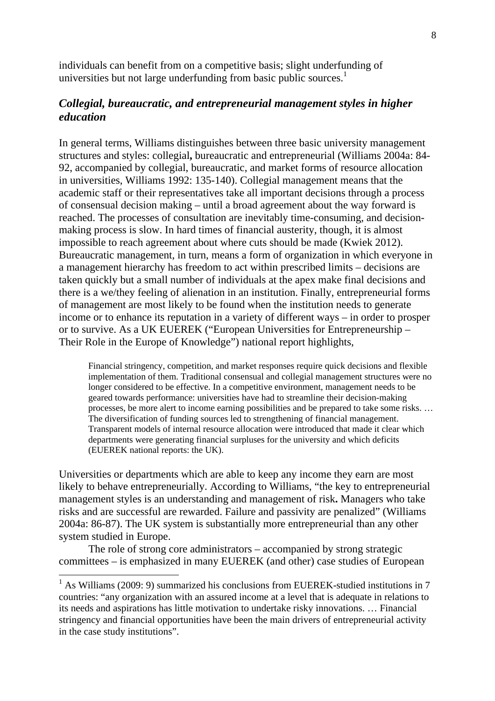individuals can benefit from on a competitive basis; slight underfunding of universities but not large underfunding from basic public sources.<sup>1</sup>

### *Collegial, bureaucratic, and entrepreneurial management styles in higher education*

In general terms, Williams distinguishes between three basic university management structures and styles: collegial**,** bureaucratic and entrepreneurial (Williams 2004a: 84- 92, accompanied by collegial, bureaucratic, and market forms of resource allocation in universities, Williams 1992: 135-140). Collegial management means that the academic staff or their representatives take all important decisions through a process of consensual decision making – until a broad agreement about the way forward is reached. The processes of consultation are inevitably time-consuming, and decisionmaking process is slow. In hard times of financial austerity, though, it is almost impossible to reach agreement about where cuts should be made (Kwiek 2012). Bureaucratic management, in turn, means a form of organization in which everyone in a management hierarchy has freedom to act within prescribed limits – decisions are taken quickly but a small number of individuals at the apex make final decisions and there is a we/they feeling of alienation in an institution. Finally, entrepreneurial forms of management are most likely to be found when the institution needs to generate income or to enhance its reputation in a variety of different ways – in order to prosper or to survive. As a UK EUEREK ("European Universities for Entrepreneurship – Their Role in the Europe of Knowledge") national report highlights,

Financial stringency, competition, and market responses require quick decisions and flexible implementation of them. Traditional consensual and collegial management structures were no longer considered to be effective. In a competitive environment, management needs to be geared towards performance: universities have had to streamline their decision-making processes, be more alert to income earning possibilities and be prepared to take some risks. … The diversification of funding sources led to strengthening of financial management. Transparent models of internal resource allocation were introduced that made it clear which departments were generating financial surpluses for the university and which deficits (EUEREK national reports: the UK).

Universities or departments which are able to keep any income they earn are most likely to behave entrepreneurially. According to Williams, "the key to entrepreneurial management styles is an understanding and management of risk**.** Managers who take risks and are successful are rewarded. Failure and passivity are penalized" (Williams 2004a: 86-87). The UK system is substantially more entrepreneurial than any other system studied in Europe.

The role of strong core administrators – accompanied by strong strategic committees – is emphasized in many EUEREK (and other) case studies of European

1

<sup>&</sup>lt;sup>1</sup> As Williams (2009: 9) summarized his conclusions from EUEREK-studied institutions in 7 countries: "any organization with an assured income at a level that is adequate in relations to its needs and aspirations has little motivation to undertake risky innovations. … Financial stringency and financial opportunities have been the main drivers of entrepreneurial activity in the case study institutions".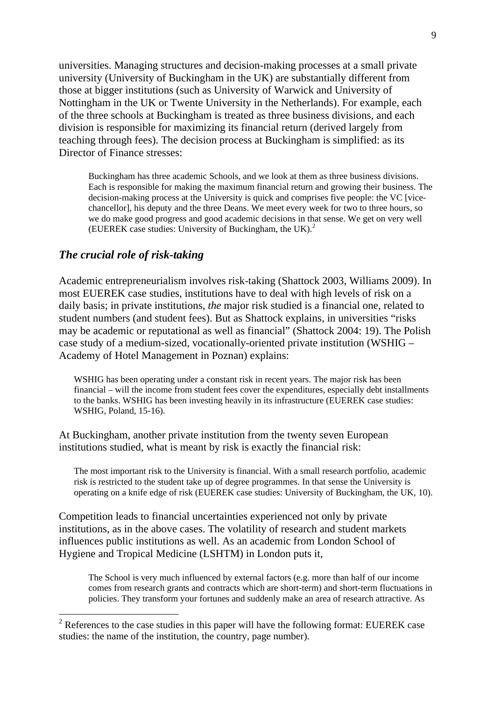universities. Managing structures and decision-making processes at a small private university (University of Buckingham in the UK) are substantially different from those at bigger institutions (such as University of Warwick and University of Nottingham in the UK or Twente University in the Netherlands). For example, each of the three schools at Buckingham is treated as three business divisions, and each division is responsible for maximizing its financial return (derived largely from teaching through fees). The decision process at Buckingham is simplified: as its Director of Finance stresses:

Buckingham has three academic Schools, and we look at them as three business divisions. Each is responsible for making the maximum financial return and growing their business. The decision-making process at the University is quick and comprises five people: the VC [vicechancellor], his deputy and the three Deans. We meet every week for two to three hours, so we do make good progress and good academic decisions in that sense. We get on very well (EUEREK case studies: University of Buckingham, the UK).<sup>2</sup>

### *The crucial role of risk-taking*

<u>.</u>

Academic entrepreneurialism involves risk-taking (Shattock 2003, Williams 2009). In most EUEREK case studies, institutions have to deal with high levels of risk on a daily basis; in private institutions, *the* major risk studied is a financial one, related to student numbers (and student fees). But as Shattock explains, in universities "risks may be academic or reputational as well as financial" (Shattock 2004: 19). The Polish case study of a medium-sized, vocationally-oriented private institution (WSHIG – Academy of Hotel Management in Poznan) explains:

WSHIG has been operating under a constant risk in recent years. The major risk has been financial – will the income from student fees cover the expenditures, especially debt installments to the banks. WSHIG has been investing heavily in its infrastructure (EUEREK case studies: WSHIG, Poland, 15-16).

At Buckingham, another private institution from the twenty seven European institutions studied, what is meant by risk is exactly the financial risk:

The most important risk to the University is financial. With a small research portfolio, academic risk is restricted to the student take up of degree programmes. In that sense the University is operating on a knife edge of risk (EUEREK case studies: University of Buckingham, the UK, 10).

Competition leads to financial uncertainties experienced not only by private institutions, as in the above cases. The volatility of research and student markets influences public institutions as well. As an academic from London School of Hygiene and Tropical Medicine (LSHTM) in London puts it,

The School is very much influenced by external factors (e.g. more than half of our income comes from research grants and contracts which are short-term) and short-term fluctuations in policies. They transform your fortunes and suddenly make an area of research attractive. As

 $2^2$  References to the case studies in this paper will have the following format: EUEREK case studies: the name of the institution, the country, page number).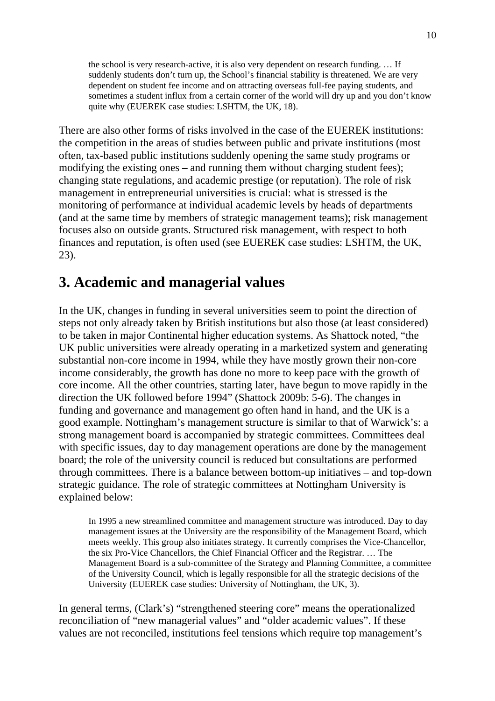the school is very research-active, it is also very dependent on research funding. … If suddenly students don't turn up, the School's financial stability is threatened. We are very dependent on student fee income and on attracting overseas full-fee paying students, and sometimes a student influx from a certain corner of the world will dry up and you don't know quite why (EUEREK case studies: LSHTM, the UK, 18).

There are also other forms of risks involved in the case of the EUEREK institutions: the competition in the areas of studies between public and private institutions (most often, tax-based public institutions suddenly opening the same study programs or modifying the existing ones – and running them without charging student fees); changing state regulations, and academic prestige (or reputation). The role of risk management in entrepreneurial universities is crucial: what is stressed is the monitoring of performance at individual academic levels by heads of departments (and at the same time by members of strategic management teams); risk management focuses also on outside grants. Structured risk management, with respect to both finances and reputation, is often used (see EUEREK case studies: LSHTM, the UK, 23).

## **3. Academic and managerial values**

In the UK, changes in funding in several universities seem to point the direction of steps not only already taken by British institutions but also those (at least considered) to be taken in major Continental higher education systems. As Shattock noted, "the UK public universities were already operating in a marketized system and generating substantial non-core income in 1994, while they have mostly grown their non-core income considerably, the growth has done no more to keep pace with the growth of core income. All the other countries, starting later, have begun to move rapidly in the direction the UK followed before 1994" (Shattock 2009b: 5-6). The changes in funding and governance and management go often hand in hand, and the UK is a good example. Nottingham's management structure is similar to that of Warwick's: a strong management board is accompanied by strategic committees. Committees deal with specific issues, day to day management operations are done by the management board; the role of the university council is reduced but consultations are performed through committees. There is a balance between bottom-up initiatives – and top-down strategic guidance. The role of strategic committees at Nottingham University is explained below:

In 1995 a new streamlined committee and management structure was introduced. Day to day management issues at the University are the responsibility of the Management Board, which meets weekly. This group also initiates strategy. It currently comprises the Vice-Chancellor, the six Pro-Vice Chancellors, the Chief Financial Officer and the Registrar. … The Management Board is a sub-committee of the Strategy and Planning Committee, a committee of the University Council, which is legally responsible for all the strategic decisions of the University (EUEREK case studies: University of Nottingham, the UK, 3).

In general terms, (Clark's) "strengthened steering core" means the operationalized reconciliation of "new managerial values" and "older academic values". If these values are not reconciled, institutions feel tensions which require top management's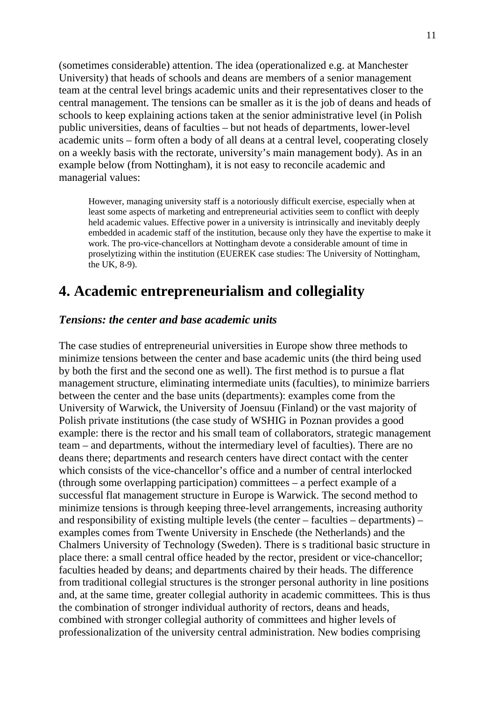(sometimes considerable) attention. The idea (operationalized e.g. at Manchester University) that heads of schools and deans are members of a senior management team at the central level brings academic units and their representatives closer to the central management. The tensions can be smaller as it is the job of deans and heads of schools to keep explaining actions taken at the senior administrative level (in Polish public universities, deans of faculties – but not heads of departments, lower-level academic units – form often a body of all deans at a central level, cooperating closely on a weekly basis with the rectorate, university's main management body). As in an example below (from Nottingham), it is not easy to reconcile academic and managerial values:

However, managing university staff is a notoriously difficult exercise, especially when at least some aspects of marketing and entrepreneurial activities seem to conflict with deeply held academic values. Effective power in a university is intrinsically and inevitably deeply embedded in academic staff of the institution, because only they have the expertise to make it work. The pro-vice-chancellors at Nottingham devote a considerable amount of time in proselytizing within the institution (EUEREK case studies: The University of Nottingham, the UK, 8-9).

## **4. Academic entrepreneurialism and collegiality**

### *Tensions: the center and base academic units*

The case studies of entrepreneurial universities in Europe show three methods to minimize tensions between the center and base academic units (the third being used by both the first and the second one as well). The first method is to pursue a flat management structure, eliminating intermediate units (faculties), to minimize barriers between the center and the base units (departments): examples come from the University of Warwick, the University of Joensuu (Finland) or the vast majority of Polish private institutions (the case study of WSHIG in Poznan provides a good example: there is the rector and his small team of collaborators, strategic management team – and departments, without the intermediary level of faculties). There are no deans there; departments and research centers have direct contact with the center which consists of the vice-chancellor's office and a number of central interlocked (through some overlapping participation) committees – a perfect example of a successful flat management structure in Europe is Warwick. The second method to minimize tensions is through keeping three-level arrangements, increasing authority and responsibility of existing multiple levels (the center – faculties – departments) – examples comes from Twente University in Enschede (the Netherlands) and the Chalmers University of Technology (Sweden). There is s traditional basic structure in place there: a small central office headed by the rector, president or vice-chancellor; faculties headed by deans; and departments chaired by their heads. The difference from traditional collegial structures is the stronger personal authority in line positions and, at the same time, greater collegial authority in academic committees. This is thus the combination of stronger individual authority of rectors, deans and heads, combined with stronger collegial authority of committees and higher levels of professionalization of the university central administration. New bodies comprising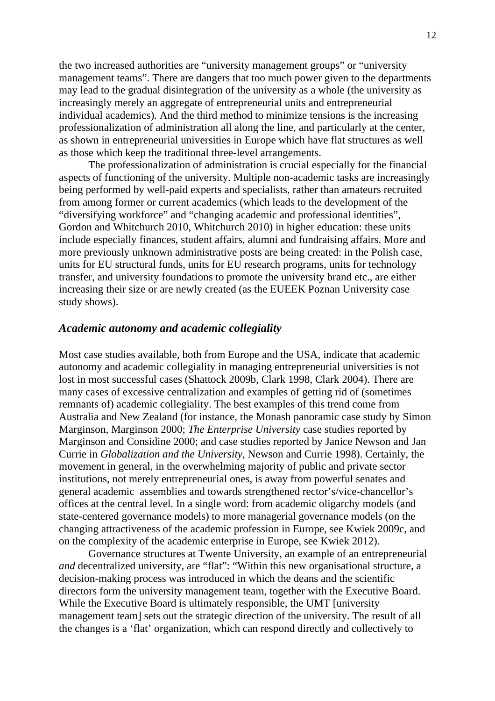the two increased authorities are "university management groups" or "university management teams". There are dangers that too much power given to the departments may lead to the gradual disintegration of the university as a whole (the university as increasingly merely an aggregate of entrepreneurial units and entrepreneurial individual academics). And the third method to minimize tensions is the increasing professionalization of administration all along the line, and particularly at the center, as shown in entrepreneurial universities in Europe which have flat structures as well as those which keep the traditional three-level arrangements.

The professionalization of administration is crucial especially for the financial aspects of functioning of the university. Multiple non-academic tasks are increasingly being performed by well-paid experts and specialists, rather than amateurs recruited from among former or current academics (which leads to the development of the "diversifying workforce" and "changing academic and professional identities", Gordon and Whitchurch 2010, Whitchurch 2010) in higher education: these units include especially finances, student affairs, alumni and fundraising affairs. More and more previously unknown administrative posts are being created: in the Polish case, units for EU structural funds, units for EU research programs, units for technology transfer, and university foundations to promote the university brand etc., are either increasing their size or are newly created (as the EUEEK Poznan University case study shows).

### *Academic autonomy and academic collegiality*

Most case studies available, both from Europe and the USA, indicate that academic autonomy and academic collegiality in managing entrepreneurial universities is not lost in most successful cases (Shattock 2009b, Clark 1998, Clark 2004). There are many cases of excessive centralization and examples of getting rid of (sometimes remnants of) academic collegiality. The best examples of this trend come from Australia and New Zealand (for instance, the Monash panoramic case study by Simon Marginson, Marginson 2000; *The Enterprise University* case studies reported by Marginson and Considine 2000; and case studies reported by Janice Newson and Jan Currie in *Globalization and the University*, Newson and Currie 1998). Certainly, the movement in general, in the overwhelming majority of public and private sector institutions, not merely entrepreneurial ones, is away from powerful senates and general academic assemblies and towards strengthened rector's/vice-chancellor's offices at the central level. In a single word: from academic oligarchy models (and state-centered governance models) to more managerial governance models (on the changing attractiveness of the academic profession in Europe, see Kwiek 2009c, and on the complexity of the academic enterprise in Europe, see Kwiek 2012).

Governance structures at Twente University, an example of an entrepreneurial *and* decentralized university, are "flat": "Within this new organisational structure, a decision-making process was introduced in which the deans and the scientific directors form the university management team, together with the Executive Board. While the Executive Board is ultimately responsible, the UMT [university management team] sets out the strategic direction of the university. The result of all the changes is a 'flat' organization, which can respond directly and collectively to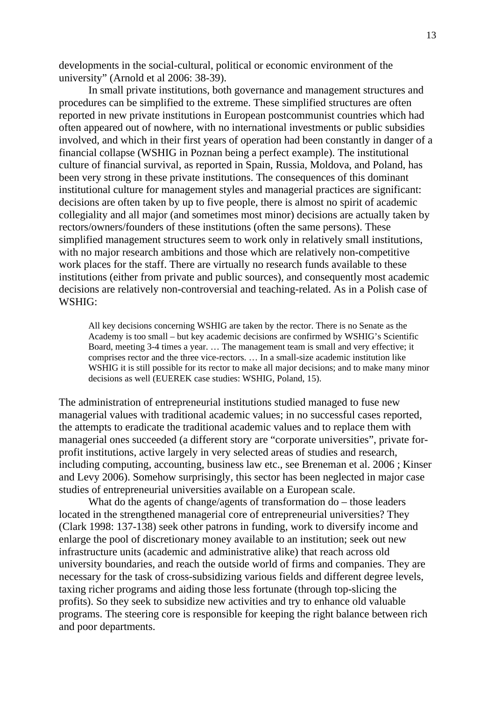developments in the social-cultural, political or economic environment of the university" (Arnold et al 2006: 38-39).

In small private institutions, both governance and management structures and procedures can be simplified to the extreme. These simplified structures are often reported in new private institutions in European postcommunist countries which had often appeared out of nowhere, with no international investments or public subsidies involved, and which in their first years of operation had been constantly in danger of a financial collapse (WSHIG in Poznan being a perfect example). The institutional culture of financial survival, as reported in Spain, Russia, Moldova, and Poland, has been very strong in these private institutions. The consequences of this dominant institutional culture for management styles and managerial practices are significant: decisions are often taken by up to five people, there is almost no spirit of academic collegiality and all major (and sometimes most minor) decisions are actually taken by rectors/owners/founders of these institutions (often the same persons). These simplified management structures seem to work only in relatively small institutions, with no major research ambitions and those which are relatively non-competitive work places for the staff. There are virtually no research funds available to these institutions (either from private and public sources), and consequently most academic decisions are relatively non-controversial and teaching-related. As in a Polish case of WSHIG:

All key decisions concerning WSHIG are taken by the rector. There is no Senate as the Academy is too small – but key academic decisions are confirmed by WSHIG's Scientific Board, meeting 3-4 times a year. … The management team is small and very effective; it comprises rector and the three vice-rectors. … In a small-size academic institution like WSHIG it is still possible for its rector to make all major decisions; and to make many minor decisions as well (EUEREK case studies: WSHIG, Poland, 15).

The administration of entrepreneurial institutions studied managed to fuse new managerial values with traditional academic values; in no successful cases reported, the attempts to eradicate the traditional academic values and to replace them with managerial ones succeeded (a different story are "corporate universities", private forprofit institutions, active largely in very selected areas of studies and research, including computing, accounting, business law etc., see Breneman et al. 2006 ; Kinser and Levy 2006). Somehow surprisingly, this sector has been neglected in major case studies of entrepreneurial universities available on a European scale.

What do the agents of change/agents of transformation do – those leaders located in the strengthened managerial core of entrepreneurial universities? They (Clark 1998: 137-138) seek other patrons in funding, work to diversify income and enlarge the pool of discretionary money available to an institution; seek out new infrastructure units (academic and administrative alike) that reach across old university boundaries, and reach the outside world of firms and companies. They are necessary for the task of cross-subsidizing various fields and different degree levels, taxing richer programs and aiding those less fortunate (through top-slicing the profits). So they seek to subsidize new activities and try to enhance old valuable programs. The steering core is responsible for keeping the right balance between rich and poor departments.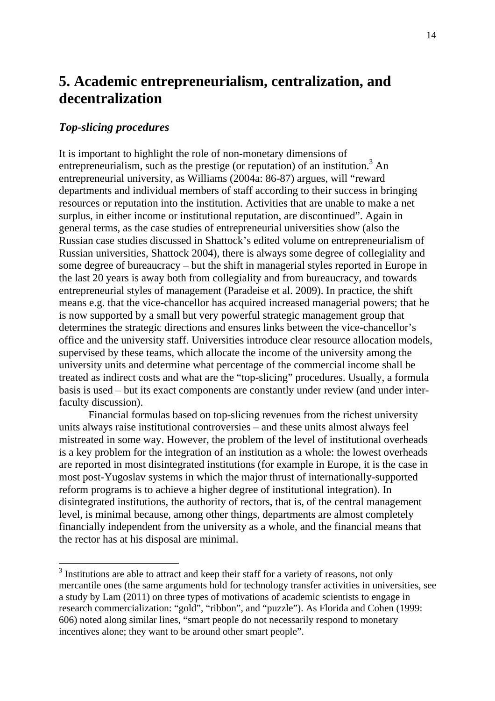## **5. Academic entrepreneurialism, centralization, and decentralization**

### *Top-slicing procedures*

1

It is important to highlight the role of non-monetary dimensions of entrepreneurialism, such as the prestige (or reputation) of an institution.<sup>3</sup> An entrepreneurial university, as Williams (2004a: 86-87) argues, will "reward departments and individual members of staff according to their success in bringing resources or reputation into the institution. Activities that are unable to make a net surplus, in either income or institutional reputation, are discontinued". Again in general terms, as the case studies of entrepreneurial universities show (also the Russian case studies discussed in Shattock's edited volume on entrepreneurialism of Russian universities, Shattock 2004), there is always some degree of collegiality and some degree of bureaucracy – but the shift in managerial styles reported in Europe in the last 20 years is away both from collegiality and from bureaucracy, and towards entrepreneurial styles of management (Paradeise et al. 2009). In practice, the shift means e.g. that the vice-chancellor has acquired increased managerial powers; that he is now supported by a small but very powerful strategic management group that determines the strategic directions and ensures links between the vice-chancellor's office and the university staff. Universities introduce clear resource allocation models, supervised by these teams, which allocate the income of the university among the university units and determine what percentage of the commercial income shall be treated as indirect costs and what are the "top-slicing" procedures. Usually, a formula basis is used – but its exact components are constantly under review (and under interfaculty discussion).

Financial formulas based on top-slicing revenues from the richest university units always raise institutional controversies – and these units almost always feel mistreated in some way. However, the problem of the level of institutional overheads is a key problem for the integration of an institution as a whole: the lowest overheads are reported in most disintegrated institutions (for example in Europe, it is the case in most post-Yugoslav systems in which the major thrust of internationally-supported reform programs is to achieve a higher degree of institutional integration). In disintegrated institutions, the authority of rectors, that is, of the central management level, is minimal because, among other things, departments are almost completely financially independent from the university as a whole, and the financial means that the rector has at his disposal are minimal.

<sup>&</sup>lt;sup>3</sup> Institutions are able to attract and keep their staff for a variety of reasons, not only mercantile ones (the same arguments hold for technology transfer activities in universities, see a study by Lam (2011) on three types of motivations of academic scientists to engage in research commercialization: "gold", "ribbon", and "puzzle"). As Florida and Cohen (1999: 606) noted along similar lines, "smart people do not necessarily respond to monetary incentives alone; they want to be around other smart people".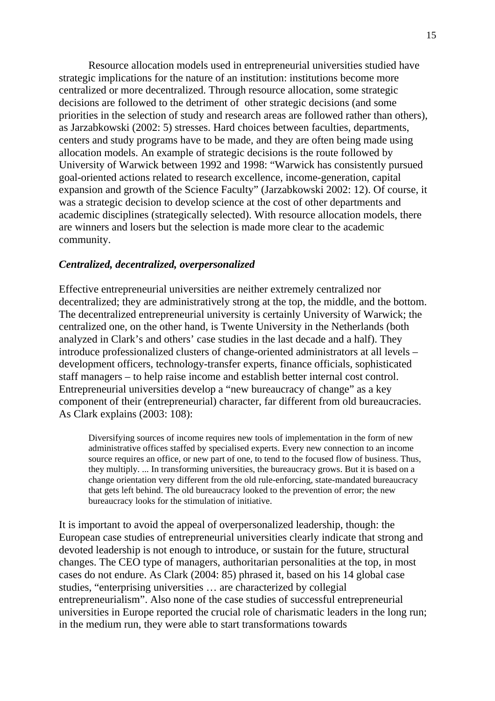Resource allocation models used in entrepreneurial universities studied have strategic implications for the nature of an institution: institutions become more centralized or more decentralized. Through resource allocation, some strategic decisions are followed to the detriment of other strategic decisions (and some priorities in the selection of study and research areas are followed rather than others), as Jarzabkowski (2002: 5) stresses. Hard choices between faculties, departments, centers and study programs have to be made, and they are often being made using allocation models. An example of strategic decisions is the route followed by University of Warwick between 1992 and 1998: "Warwick has consistently pursued goal-oriented actions related to research excellence, income-generation, capital expansion and growth of the Science Faculty" (Jarzabkowski 2002: 12). Of course, it was a strategic decision to develop science at the cost of other departments and academic disciplines (strategically selected). With resource allocation models, there are winners and losers but the selection is made more clear to the academic community.

### *Centralized, decentralized, overpersonalized*

Effective entrepreneurial universities are neither extremely centralized nor decentralized; they are administratively strong at the top, the middle, and the bottom. The decentralized entrepreneurial university is certainly University of Warwick; the centralized one, on the other hand, is Twente University in the Netherlands (both analyzed in Clark's and others' case studies in the last decade and a half). They introduce professionalized clusters of change-oriented administrators at all levels – development officers, technology-transfer experts, finance officials, sophisticated staff managers – to help raise income and establish better internal cost control. Entrepreneurial universities develop a "new bureaucracy of change" as a key component of their (entrepreneurial) character, far different from old bureaucracies. As Clark explains (2003: 108):

Diversifying sources of income requires new tools of implementation in the form of new administrative offices staffed by specialised experts. Every new connection to an income source requires an office, or new part of one, to tend to the focused flow of business. Thus, they multiply. ... In transforming universities, the bureaucracy grows. But it is based on a change orientation very different from the old rule-enforcing, state-mandated bureaucracy that gets left behind. The old bureaucracy looked to the prevention of error; the new bureaucracy looks for the stimulation of initiative.

It is important to avoid the appeal of overpersonalized leadership, though: the European case studies of entrepreneurial universities clearly indicate that strong and devoted leadership is not enough to introduce, or sustain for the future, structural changes. The CEO type of managers, authoritarian personalities at the top, in most cases do not endure. As Clark (2004: 85) phrased it, based on his 14 global case studies, "enterprising universities … are characterized by collegial entrepreneurialism". Also none of the case studies of successful entrepreneurial universities in Europe reported the crucial role of charismatic leaders in the long run; in the medium run, they were able to start transformations towards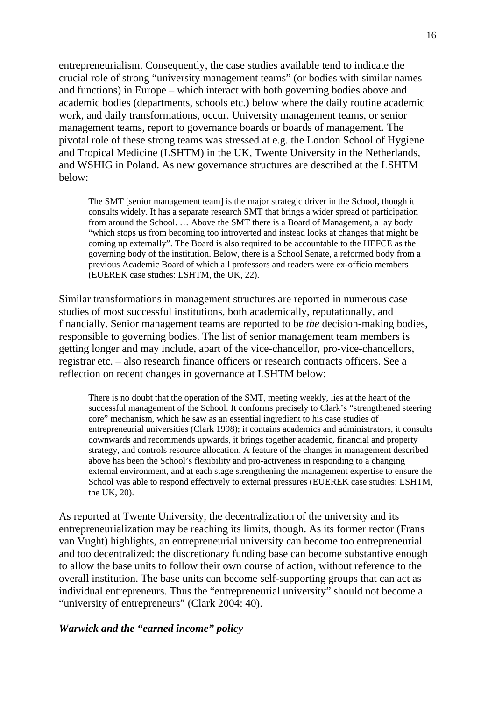entrepreneurialism. Consequently, the case studies available tend to indicate the crucial role of strong "university management teams" (or bodies with similar names and functions) in Europe – which interact with both governing bodies above and academic bodies (departments, schools etc.) below where the daily routine academic work, and daily transformations, occur. University management teams, or senior management teams, report to governance boards or boards of management. The pivotal role of these strong teams was stressed at e.g. the London School of Hygiene and Tropical Medicine (LSHTM) in the UK, Twente University in the Netherlands, and WSHIG in Poland. As new governance structures are described at the LSHTM below:

The SMT [senior management team] is the major strategic driver in the School, though it consults widely. It has a separate research SMT that brings a wider spread of participation from around the School. … Above the SMT there is a Board of Management, a lay body "which stops us from becoming too introverted and instead looks at changes that might be coming up externally". The Board is also required to be accountable to the HEFCE as the governing body of the institution. Below, there is a School Senate, a reformed body from a previous Academic Board of which all professors and readers were ex-officio members (EUEREK case studies: LSHTM, the UK, 22).

Similar transformations in management structures are reported in numerous case studies of most successful institutions, both academically, reputationally, and financially. Senior management teams are reported to be *the* decision-making bodies, responsible to governing bodies. The list of senior management team members is getting longer and may include, apart of the vice-chancellor, pro-vice-chancellors, registrar etc. – also research finance officers or research contracts officers. See a reflection on recent changes in governance at LSHTM below:

There is no doubt that the operation of the SMT, meeting weekly, lies at the heart of the successful management of the School. It conforms precisely to Clark's "strengthened steering core" mechanism, which he saw as an essential ingredient to his case studies of entrepreneurial universities (Clark 1998); it contains academics and administrators, it consults downwards and recommends upwards, it brings together academic, financial and property strategy, and controls resource allocation. A feature of the changes in management described above has been the School's flexibility and pro-activeness in responding to a changing external environment, and at each stage strengthening the management expertise to ensure the School was able to respond effectively to external pressures (EUEREK case studies: LSHTM, the UK, 20).

As reported at Twente University, the decentralization of the university and its entrepreneurialization may be reaching its limits, though. As its former rector (Frans van Vught) highlights, an entrepreneurial university can become too entrepreneurial and too decentralized: the discretionary funding base can become substantive enough to allow the base units to follow their own course of action, without reference to the overall institution. The base units can become self-supporting groups that can act as individual entrepreneurs. Thus the "entrepreneurial university" should not become a "university of entrepreneurs" (Clark 2004: 40).

### *Warwick and the "earned income" policy*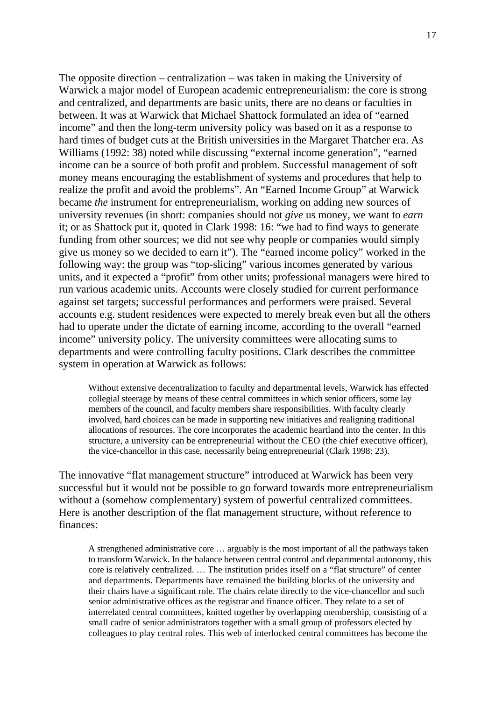The opposite direction – centralization – was taken in making the University of Warwick a major model of European academic entrepreneurialism: the core is strong and centralized, and departments are basic units, there are no deans or faculties in between. It was at Warwick that Michael Shattock formulated an idea of "earned income" and then the long-term university policy was based on it as a response to hard times of budget cuts at the British universities in the Margaret Thatcher era. As Williams (1992: 38) noted while discussing "external income generation", "earned income can be a source of both profit and problem. Successful management of soft money means encouraging the establishment of systems and procedures that help to realize the profit and avoid the problems". An "Earned Income Group" at Warwick became *the* instrument for entrepreneurialism, working on adding new sources of university revenues (in short: companies should not *give* us money, we want to *earn* it; or as Shattock put it, quoted in Clark 1998: 16: "we had to find ways to generate funding from other sources; we did not see why people or companies would simply give us money so we decided to earn it"). The "earned income policy" worked in the following way: the group was "top-slicing" various incomes generated by various units, and it expected a "profit" from other units; professional managers were hired to run various academic units. Accounts were closely studied for current performance against set targets; successful performances and performers were praised. Several accounts e.g. student residences were expected to merely break even but all the others had to operate under the dictate of earning income, according to the overall "earned income" university policy. The university committees were allocating sums to departments and were controlling faculty positions. Clark describes the committee system in operation at Warwick as follows:

Without extensive decentralization to faculty and departmental levels, Warwick has effected collegial steerage by means of these central committees in which senior officers, some lay members of the council, and faculty members share responsibilities. With faculty clearly involved, hard choices can be made in supporting new initiatives and realigning traditional allocations of resources. The core incorporates the academic heartland into the center. In this structure, a university can be entrepreneurial without the CEO (the chief executive officer), the vice-chancellor in this case, necessarily being entrepreneurial (Clark 1998: 23).

The innovative "flat management structure" introduced at Warwick has been very successful but it would not be possible to go forward towards more entrepreneurialism without a (somehow complementary) system of powerful centralized committees. Here is another description of the flat management structure, without reference to finances:

A strengthened administrative core … arguably is the most important of all the pathways taken to transform Warwick. In the balance between central control and departmental autonomy, this core is relatively centralized. … The institution prides itself on a "flat structure" of center and departments. Departments have remained the building blocks of the university and their chairs have a significant role. The chairs relate directly to the vice-chancellor and such senior administrative offices as the registrar and finance officer. They relate to a set of interrelated central committees, knitted together by overlapping membership, consisting of a small cadre of senior administrators together with a small group of professors elected by colleagues to play central roles. This web of interlocked central committees has become the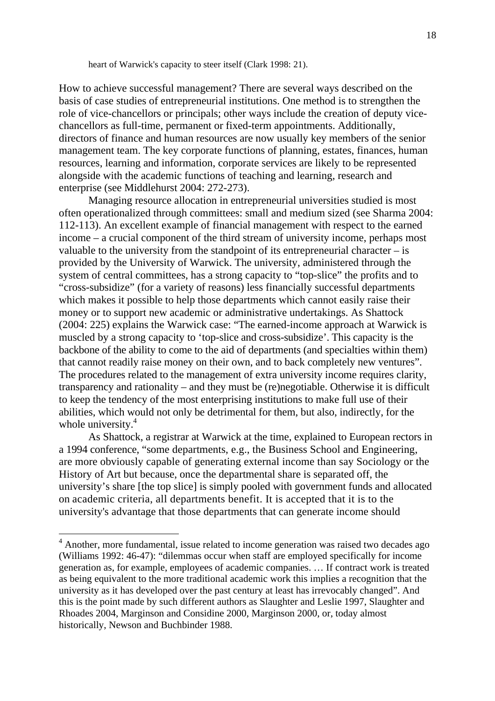heart of Warwick's capacity to steer itself (Clark 1998: 21).

How to achieve successful management? There are several ways described on the basis of case studies of entrepreneurial institutions. One method is to strengthen the role of vice-chancellors or principals; other ways include the creation of deputy vicechancellors as full-time, permanent or fixed-term appointments. Additionally, directors of finance and human resources are now usually key members of the senior management team. The key corporate functions of planning, estates, finances, human resources, learning and information, corporate services are likely to be represented alongside with the academic functions of teaching and learning, research and enterprise (see Middlehurst 2004: 272-273).

 Managing resource allocation in entrepreneurial universities studied is most often operationalized through committees: small and medium sized (see Sharma 2004: 112-113). An excellent example of financial management with respect to the earned income – a crucial component of the third stream of university income, perhaps most valuable to the university from the standpoint of its entrepreneurial character – is provided by the University of Warwick. The university, administered through the system of central committees, has a strong capacity to "top-slice" the profits and to "cross-subsidize" (for a variety of reasons) less financially successful departments which makes it possible to help those departments which cannot easily raise their money or to support new academic or administrative undertakings. As Shattock (2004: 225) explains the Warwick case: "The earned-income approach at Warwick is muscled by a strong capacity to 'top-slice and cross-subsidize'. This capacity is the backbone of the ability to come to the aid of departments (and specialties within them) that cannot readily raise money on their own, and to back completely new ventures". The procedures related to the management of extra university income requires clarity, transparency and rationality – and they must be (re)negotiable. Otherwise it is difficult to keep the tendency of the most enterprising institutions to make full use of their abilities, which would not only be detrimental for them, but also, indirectly, for the whole university.<sup>4</sup>

As Shattock, a registrar at Warwick at the time, explained to European rectors in a 1994 conference, "some departments, e.g., the Business School and Engineering, are more obviously capable of generating external income than say Sociology or the History of Art but because, once the departmental share is separated off, the university's share [the top slice] is simply pooled with government funds and allocated on academic criteria, all departments benefit. It is accepted that it is to the university's advantage that those departments that can generate income should

1

<sup>&</sup>lt;sup>4</sup> Another, more fundamental, issue related to income generation was raised two decades ago (Williams 1992: 46-47): "dilemmas occur when staff are employed specifically for income generation as, for example, employees of academic companies. … If contract work is treated as being equivalent to the more traditional academic work this implies a recognition that the university as it has developed over the past century at least has irrevocably changed". And this is the point made by such different authors as Slaughter and Leslie 1997, Slaughter and Rhoades 2004, Marginson and Considine 2000, Marginson 2000, or, today almost historically, Newson and Buchbinder 1988.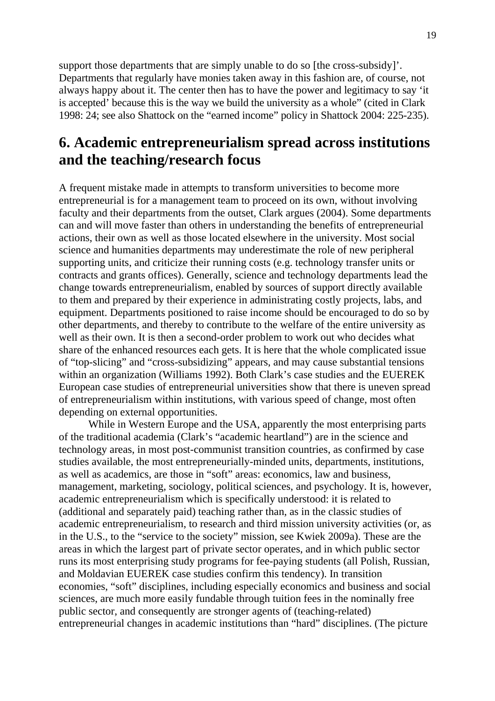support those departments that are simply unable to do so [the cross-subsidy]'. Departments that regularly have monies taken away in this fashion are, of course, not always happy about it. The center then has to have the power and legitimacy to say 'it is accepted' because this is the way we build the university as a whole" (cited in Clark 1998: 24; see also Shattock on the "earned income" policy in Shattock 2004: 225-235).

## **6. Academic entrepreneurialism spread across institutions and the teaching/research focus**

A frequent mistake made in attempts to transform universities to become more entrepreneurial is for a management team to proceed on its own, without involving faculty and their departments from the outset, Clark argues (2004). Some departments can and will move faster than others in understanding the benefits of entrepreneurial actions, their own as well as those located elsewhere in the university. Most social science and humanities departments may underestimate the role of new peripheral supporting units, and criticize their running costs (e.g. technology transfer units or contracts and grants offices). Generally, science and technology departments lead the change towards entrepreneurialism, enabled by sources of support directly available to them and prepared by their experience in administrating costly projects, labs, and equipment. Departments positioned to raise income should be encouraged to do so by other departments, and thereby to contribute to the welfare of the entire university as well as their own. It is then a second-order problem to work out who decides what share of the enhanced resources each gets. It is here that the whole complicated issue of "top-slicing" and "cross-subsidizing" appears, and may cause substantial tensions within an organization (Williams 1992). Both Clark's case studies and the EUEREK European case studies of entrepreneurial universities show that there is uneven spread of entrepreneurialism within institutions, with various speed of change, most often depending on external opportunities.

While in Western Europe and the USA, apparently the most enterprising parts of the traditional academia (Clark's "academic heartland") are in the science and technology areas, in most post-communist transition countries, as confirmed by case studies available, the most entrepreneurially-minded units, departments, institutions, as well as academics, are those in "soft" areas: economics, law and business, management, marketing, sociology, political sciences, and psychology. It is, however, academic entrepreneurialism which is specifically understood: it is related to (additional and separately paid) teaching rather than, as in the classic studies of academic entrepreneurialism, to research and third mission university activities (or, as in the U.S., to the "service to the society" mission, see Kwiek 2009a). These are the areas in which the largest part of private sector operates, and in which public sector runs its most enterprising study programs for fee-paying students (all Polish, Russian, and Moldavian EUEREK case studies confirm this tendency). In transition economies, "soft" disciplines, including especially economics and business and social sciences, are much more easily fundable through tuition fees in the nominally free public sector, and consequently are stronger agents of (teaching-related) entrepreneurial changes in academic institutions than "hard" disciplines. (The picture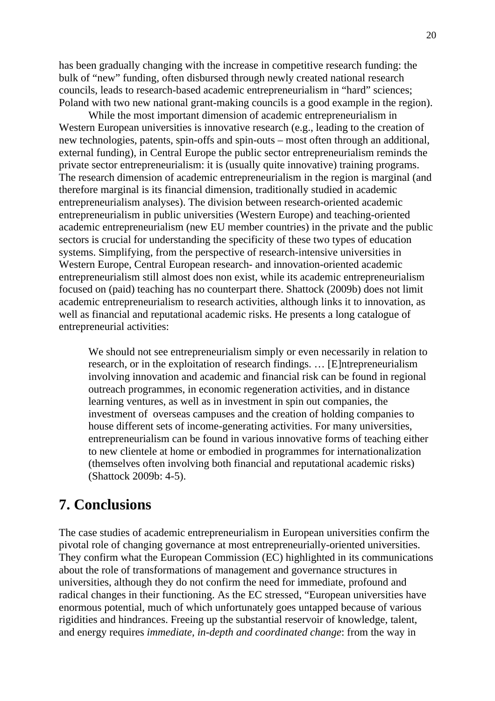has been gradually changing with the increase in competitive research funding: the bulk of "new" funding, often disbursed through newly created national research councils, leads to research-based academic entrepreneurialism in "hard" sciences; Poland with two new national grant-making councils is a good example in the region).

While the most important dimension of academic entrepreneurialism in Western European universities is innovative research (e.g., leading to the creation of new technologies, patents, spin-offs and spin-outs – most often through an additional, external funding), in Central Europe the public sector entrepreneurialism reminds the private sector entrepreneurialism: it is (usually quite innovative) training programs. The research dimension of academic entrepreneurialism in the region is marginal (and therefore marginal is its financial dimension, traditionally studied in academic entrepreneurialism analyses). The division between research-oriented academic entrepreneurialism in public universities (Western Europe) and teaching-oriented academic entrepreneurialism (new EU member countries) in the private and the public sectors is crucial for understanding the specificity of these two types of education systems. Simplifying, from the perspective of research-intensive universities in Western Europe, Central European research- and innovation-oriented academic entrepreneurialism still almost does non exist, while its academic entrepreneurialism focused on (paid) teaching has no counterpart there. Shattock (2009b) does not limit academic entrepreneurialism to research activities, although links it to innovation, as well as financial and reputational academic risks. He presents a long catalogue of entrepreneurial activities:

We should not see entrepreneurialism simply or even necessarily in relation to research, or in the exploitation of research findings. … [E]ntrepreneurialism involving innovation and academic and financial risk can be found in regional outreach programmes, in economic regeneration activities, and in distance learning ventures, as well as in investment in spin out companies, the investment of overseas campuses and the creation of holding companies to house different sets of income-generating activities. For many universities, entrepreneurialism can be found in various innovative forms of teaching either to new clientele at home or embodied in programmes for internationalization (themselves often involving both financial and reputational academic risks) (Shattock 2009b: 4-5).

## **7. Conclusions**

The case studies of academic entrepreneurialism in European universities confirm the pivotal role of changing governance at most entrepreneurially-oriented universities. They confirm what the European Commission (EC) highlighted in its communications about the role of transformations of management and governance structures in universities, although they do not confirm the need for immediate, profound and radical changes in their functioning. As the EC stressed, "European universities have enormous potential, much of which unfortunately goes untapped because of various rigidities and hindrances. Freeing up the substantial reservoir of knowledge, talent, and energy requires *immediate, in-depth and coordinated change*: from the way in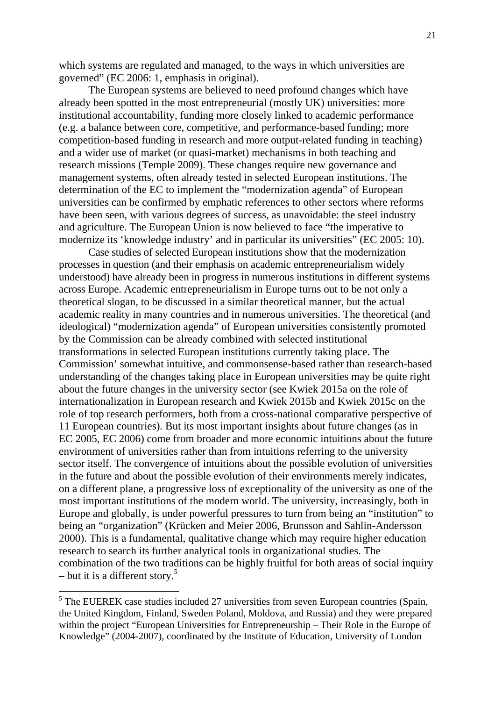which systems are regulated and managed, to the ways in which universities are governed" (EC 2006: 1, emphasis in original).

The European systems are believed to need profound changes which have already been spotted in the most entrepreneurial (mostly UK) universities: more institutional accountability, funding more closely linked to academic performance (e.g. a balance between core, competitive, and performance-based funding; more competition-based funding in research and more output-related funding in teaching) and a wider use of market (or quasi-market) mechanisms in both teaching and research missions (Temple 2009). These changes require new governance and management systems, often already tested in selected European institutions. The determination of the EC to implement the "modernization agenda" of European universities can be confirmed by emphatic references to other sectors where reforms have been seen, with various degrees of success, as unavoidable: the steel industry and agriculture. The European Union is now believed to face "the imperative to modernize its 'knowledge industry' and in particular its universities" (EC 2005: 10).

Case studies of selected European institutions show that the modernization processes in question (and their emphasis on academic entrepreneurialism widely understood) have already been in progress in numerous institutions in different systems across Europe. Academic entrepreneurialism in Europe turns out to be not only a theoretical slogan, to be discussed in a similar theoretical manner, but the actual academic reality in many countries and in numerous universities. The theoretical (and ideological) "modernization agenda" of European universities consistently promoted by the Commission can be already combined with selected institutional transformations in selected European institutions currently taking place. The Commission' somewhat intuitive, and commonsense-based rather than research-based understanding of the changes taking place in European universities may be quite right about the future changes in the university sector (see Kwiek 2015a on the role of internationalization in European research and Kwiek 2015b and Kwiek 2015c on the role of top research performers, both from a cross-national comparative perspective of 11 European countries). But its most important insights about future changes (as in EC 2005, EC 2006) come from broader and more economic intuitions about the future environment of universities rather than from intuitions referring to the university sector itself. The convergence of intuitions about the possible evolution of universities in the future and about the possible evolution of their environments merely indicates, on a different plane, a progressive loss of exceptionality of the university as one of the most important institutions of the modern world. The university, increasingly, both in Europe and globally, is under powerful pressures to turn from being an "institution" to being an "organization" (Krücken and Meier 2006, Brunsson and Sahlin-Andersson 2000). This is a fundamental, qualitative change which may require higher education research to search its further analytical tools in organizational studies. The combination of the two traditions can be highly fruitful for both areas of social inquiry – but it is a different story.<sup>5</sup>

1

 $<sup>5</sup>$  The EUEREK case studies included 27 universities from seven European countries (Spain,</sup> the United Kingdom, Finland, Sweden Poland, Moldova, and Russia) and they were prepared within the project "European Universities for Entrepreneurship – Their Role in the Europe of Knowledge" (2004-2007), coordinated by the Institute of Education, University of London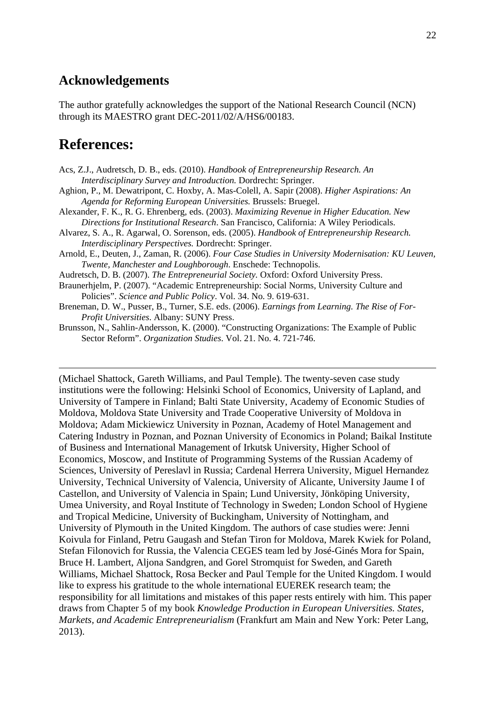### **Acknowledgements**

The author gratefully acknowledges the support of the National Research Council (NCN) through its MAESTRO grant DEC-2011/02/A/HS6/00183.

## **References:**

1

- Acs, Z.J., Audretsch, D. B., eds. (2010). *Handbook of Entrepreneurship Research. An Interdisciplinary Survey and Introduction.* Dordrecht: Springer.
- Aghion, P., M. Dewatripont, C. Hoxby, A. Mas-Colell, A. Sapir (2008). *Higher Aspirations: An Agenda for Reforming European Universities.* Brussels: Bruegel.
- Alexander, F. K., R. G. Ehrenberg, eds. (2003). *Maximizing Revenue in Higher Education. New Directions for Institutional Research*. San Francisco, California: A Wiley Periodicals.
- Alvarez, S. A., R. Agarwal, O. Sorenson, eds. (2005). *Handbook of Entrepreneurship Research. Interdisciplinary Perspectives.* Dordrecht: Springer.
- Arnold, E., Deuten, J., Zaman, R. (2006). *Four Case Studies in University Modernisation: KU Leuven, Twente, Manchester and Loughborough*. Enschede: Technopolis.
- Audretsch, D. B. (2007). *The Entrepreneurial Society.* Oxford: Oxford University Press.
- Braunerhjelm, P. (2007). "Academic Entrepreneurship: Social Norms, University Culture and Policies". *Science and Public Policy*. Vol. 34. No. 9. 619-631.
- Breneman, D. W., Pusser, B., Turner, S.E. eds. (2006). *Earnings from Learning. The Rise of For-Profit Universities*. Albany: SUNY Press.
- Brunsson, N., Sahlin-Andersson, K. (2000). "Constructing Organizations: The Example of Public Sector Reform". *Organization Studies*. Vol. 21. No. 4. 721-746.

(Michael Shattock, Gareth Williams, and Paul Temple). The twenty-seven case study institutions were the following: Helsinki School of Economics, University of Lapland, and University of Tampere in Finland; Balti State University, Academy of Economic Studies of Moldova, Moldova State University and Trade Cooperative University of Moldova in Moldova; Adam Mickiewicz University in Poznan, Academy of Hotel Management and Catering Industry in Poznan, and Poznan University of Economics in Poland; Baikal Institute of Business and International Management of Irkutsk University, Higher School of Economics, Moscow, and Institute of Programming Systems of the Russian Academy of Sciences, University of Pereslavl in Russia; Cardenal Herrera University, Miguel Hernandez University, Technical University of Valencia, University of Alicante, University Jaume I of Castellon, and University of Valencia in Spain; Lund University, Jönköping University, Umea University, and Royal Institute of Technology in Sweden; London School of Hygiene and Tropical Medicine, University of Buckingham, University of Nottingham, and University of Plymouth in the United Kingdom. The authors of case studies were: Jenni Koivula for Finland, Petru Gaugash and Stefan Tiron for Moldova, Marek Kwiek for Poland, Stefan Filonovich for Russia, the Valencia CEGES team led by José-Ginés Mora for Spain, Bruce H. Lambert, Aljona Sandgren, and Gorel Stromquist for Sweden, and Gareth Williams, Michael Shattock, Rosa Becker and Paul Temple for the United Kingdom. I would like to express his gratitude to the whole international EUEREK research team; the responsibility for all limitations and mistakes of this paper rests entirely with him. This paper draws from Chapter 5 of my book *Knowledge Production in European Universities. States, Markets, and Academic Entrepreneurialism* (Frankfurt am Main and New York: Peter Lang, 2013).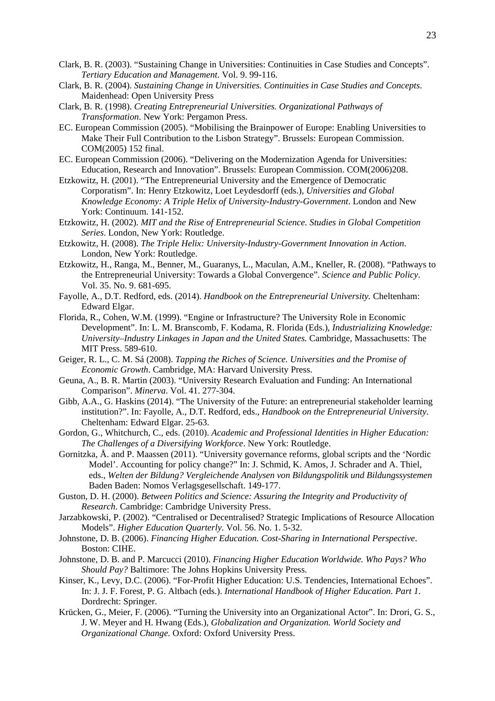- Clark, B. R. (2003). "Sustaining Change in Universities: Continuities in Case Studies and Concepts". *Tertiary Education and Management*. Vol. 9. 99-116.
- Clark, B. R. (2004). *Sustaining Change in Universities. Continuities in Case Studies and Concepts*. Maidenhead: Open University Press
- Clark, B. R. (1998). *Creating Entrepreneurial Universities. Organizational Pathways of Transformation*. New York: Pergamon Press.
- EC. European Commission (2005). "Mobilising the Brainpower of Europe: Enabling Universities to Make Their Full Contribution to the Lisbon Strategy". Brussels: European Commission. COM(2005) 152 final.
- EC. European Commission (2006). "Delivering on the Modernization Agenda for Universities: Education, Research and Innovation". Brussels: European Commission. COM(2006)208.
- Etzkowitz, H. (2001). "The Entrepreneurial University and the Emergence of Democratic Corporatism". In: Henry Etzkowitz, Loet Leydesdorff (eds.), *Universities and Global Knowledge Economy: A Triple Helix of University-Industry-Government*. London and New York: Continuum. 141-152.
- Etzkowitz, H. (2002). *MIT and the Rise of Entrepreneurial Science. Studies in Global Competition Series*. London, New York: Routledge.
- Etzkowitz, H. (2008). *The Triple Helix: University-Industry-Government Innovation in Action*. London, New York: Routledge.
- Etzkowitz, H., Ranga, M., Benner, M., Guaranys, L., Maculan, A.M., Kneller, R. (2008). "Pathways to the Entrepreneurial University: Towards a Global Convergence". *Science and Public Policy*. Vol. 35. No. 9. 681-695.
- Fayolle, A., D.T. Redford, eds. (2014). *Handbook on the Entrepreneurial University.* Cheltenham: Edward Elgar.
- Florida, R., Cohen, W.M. (1999). "Engine or Infrastructure? The University Role in Economic Development". In: L. M. Branscomb, F. Kodama, R. Florida (Eds.), *Industrializing Knowledge: University–Industry Linkages in Japan and the United States.* Cambridge, Massachusetts: The MIT Press. 589-610.
- Geiger, R. L., C. M. Sá (2008). *Tapping the Riches of Science. Universities and the Promise of Economic Growth*. Cambridge, MA: Harvard University Press.
- Geuna, A., B. R. Martin (2003). "University Research Evaluation and Funding: An International Comparison". *Minerva*. Vol. 41. 277-304.
- Gibb, A.A., G. Haskins (2014). "The University of the Future: an entrepreneurial stakeholder learning institution?". In: Fayolle, A., D.T. Redford, eds., *Handbook on the Entrepreneurial University.* Cheltenham: Edward Elgar. 25-63.
- Gordon, G., Whitchurch, C., eds. (2010). *Academic and Professional Identities in Higher Education: The Challenges of a Diversifying Workforce*. New York: Routledge.
- Gornitzka, Å. and P. Maassen (2011). "University governance reforms, global scripts and the 'Nordic Model'. Accounting for policy change?" In: J. Schmid, K. Amos, J. Schrader and A. Thiel, eds., *Welten der Bildung? Vergleichende Analysen von Bildungspolitik und Bildungssystemen*  Baden Baden: Nomos Verlagsgesellschaft. 149-177.
- Guston, D. H. (2000). *Between Politics and Science: Assuring the Integrity and Productivity of Research*. Cambridge: Cambridge University Press.
- Jarzabkowski, P. (2002). "Centralised or Decentralised? Strategic Implications of Resource Allocation Models". *Higher Education Quarterly*. Vol. 56. No. 1. 5-32.
- Johnstone, D. B. (2006). *Financing Higher Education. Cost-Sharing in International Perspective*. Boston: CIHE.
- Johnstone, D. B. and P. Marcucci (2010). *Financing Higher Education Worldwide. Who Pays? Who Should Pay?* Baltimore: The Johns Hopkins University Press.
- Kinser, K., Levy, D.C. (2006). "For-Profit Higher Education: U.S. Tendencies, International Echoes". In: J. J. F. Forest, P. G. Altbach (eds.). *International Handbook of Higher Education. Part 1*. Dordrecht: Springer.
- Krücken, G., Meier, F. (2006). "Turning the University into an Organizational Actor". In: Drori, G. S., J. W. Meyer and H. Hwang (Eds.), *Globalization and Organization. World Society and Organizational Change.* Oxford: Oxford University Press.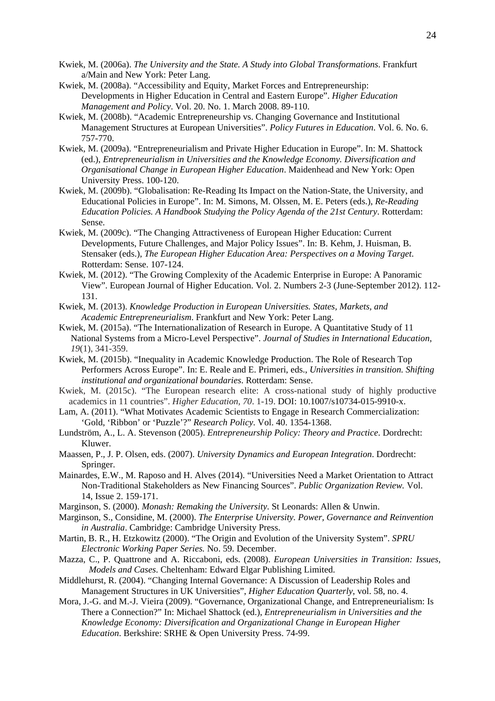- Kwiek, M. (2006a). *The University and the State. A Study into Global Transformations*. Frankfurt a/Main and New York: Peter Lang.
- Kwiek, M. (2008a). "Accessibility and Equity, Market Forces and Entrepreneurship: Developments in Higher Education in Central and Eastern Europe". *Higher Education Management and Policy*. Vol. 20. No. 1. March 2008. 89-110.
- Kwiek, M. (2008b). "Academic Entrepreneurship vs. Changing Governance and Institutional Management Structures at European Universities". *Policy Futures in Education*. Vol. 6. No. 6. 757-770.
- Kwiek, M. (2009a). "Entrepreneurialism and Private Higher Education in Europe". In: M. Shattock (ed.), *Entrepreneurialism in Universities and the Knowledge Economy. Diversification and Organisational Change in European Higher Education*. Maidenhead and New York: Open University Press. 100-120.
- Kwiek, M. (2009b). "Globalisation: Re-Reading Its Impact on the Nation-State, the University, and Educational Policies in Europe". In: M. Simons, M. Olssen, M. E. Peters (eds.), *Re-Reading Education Policies. A Handbook Studying the Policy Agenda of the 21st Century*. Rotterdam: Sense.
- Kwiek, M. (2009c). "The Changing Attractiveness of European Higher Education: Current Developments, Future Challenges, and Major Policy Issues". In: B. Kehm, J. Huisman, B. Stensaker (eds.), *The European Higher Education Area: Perspectives on a Moving Target*. Rotterdam: Sense. 107-124.
- Kwiek, M. (2012). "The Growing Complexity of the Academic Enterprise in Europe: A Panoramic View". European Journal of Higher Education. Vol. 2. Numbers 2-3 (June-September 2012). 112- 131.
- Kwiek, M. (2013). *Knowledge Production in European Universities. States, Markets, and Academic Entrepreneurialism*. Frankfurt and New York: Peter Lang.
- Kwiek, M. (2015a). "The Internationalization of Research in Europe. A Quantitative Study of 11 National Systems from a Micro-Level Perspective". *Journal of Studies in International Education*, *19*(1), 341-359.
- Kwiek, M. (2015b). "Inequality in Academic Knowledge Production. The Role of Research Top Performers Across Europe". In: E. Reale and E. Primeri, eds., *Universities in transition. Shifting institutional and organizational boundaries*. Rotterdam: Sense.
- Kwiek, M. (2015c). "The European research elite: A cross-national study of highly productive academics in 11 countries". *Higher Education, 70*. 1-19. DOI: 10.1007/s10734-015-9910-x.
- Lam, A. (2011). "What Motivates Academic Scientists to Engage in Research Commercialization: 'Gold, 'Ribbon' or 'Puzzle'?" *Research Policy*. Vol. 40. 1354-1368.
- Lundström, A., L. A. Stevenson (2005). *Entrepreneurship Policy: Theory and Practice*. Dordrecht: Kluwer.
- Maassen, P., J. P. Olsen, eds. (2007). *University Dynamics and European Integration*. Dordrecht: Springer.
- Mainardes, E.W., M. Raposo and H. Alves (2014). "Universities Need a Market Orientation to Attract Non-Traditional Stakeholders as New Financing Sources". *Public Organization Review.* Vol. 14, Issue 2. 159-171.
- Marginson, S. (2000). *Monash: Remaking the University*. St Leonards: Allen & Unwin.
- Marginson, S., Considine, M. (2000). *The Enterprise University. Power, Governance and Reinvention in Australia*. Cambridge: Cambridge University Press.
- Martin, B. R., H. Etzkowitz (2000). "The Origin and Evolution of the University System". *SPRU Electronic Working Paper Series.* No. 59. December.
- Mazza, C., P. Quattrone and A. Riccaboni, eds. (2008). *European Universities in Transition: Issues, Models and Cases*. Cheltenham: Edward Elgar Publishing Limited.
- Middlehurst, R. (2004). "Changing Internal Governance: A Discussion of Leadership Roles and Management Structures in UK Universities", *Higher Education Quarterly*, vol. 58, no. 4.
- Mora, J.-G. and M.-J. Vieira (2009). "Governance, Organizational Change, and Entrepreneurialism: Is There a Connection?" In: Michael Shattock (ed.), *Entrepreneurialism in Universities and the Knowledge Economy: Diversification and Organizational Change in European Higher Education*. Berkshire: SRHE & Open University Press. 74-99.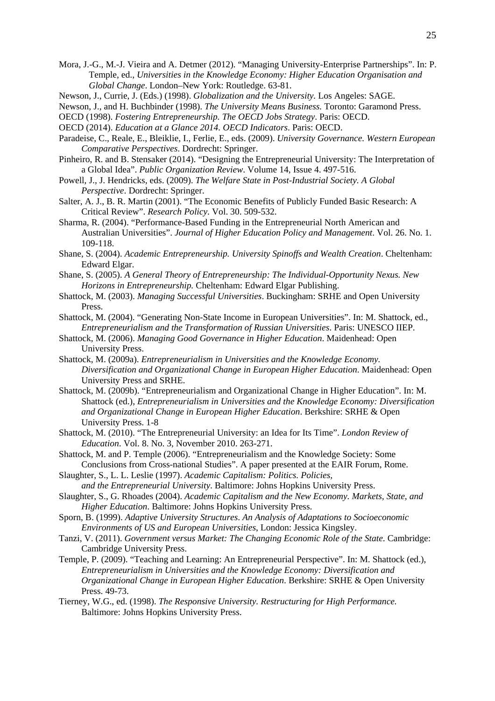- Mora, J.-G., M.-J. Vieira and A. Detmer (2012). "Managing University-Enterprise Partnerships". In: P. Temple, ed., *Universities in the Knowledge Economy: Higher Education Organisation and Global Change*. London–New York: Routledge. 63-81.
- Newson, J., Currie, J. (Eds.) (1998). *Globalization and the University.* Los Angeles: SAGE.
- Newson, J., and H. Buchbinder (1998). *The University Means Business.* Toronto: Garamond Press.
- OECD (1998). *Fostering Entrepreneurship. The OECD Jobs Strategy*. Paris: OECD.
- OECD (2014). *Education at a Glance 2014. OECD Indicators*. Paris: OECD.
- Paradeise, C., Reale, E., Bleiklie, I., Ferlie, E., eds. (2009). *University Governance. Western European Comparative Perspectives*. Dordrecht: Springer.
- Pinheiro, R. and B. Stensaker (2014). "Designing the Entrepreneurial University: The Interpretation of a Global Idea". *Public Organization Review*. Volume 14, Issue 4. 497-516.
- Powell, J., J. Hendricks, eds. (2009). *The Welfare State in Post-Industrial Society. A Global Perspective*. Dordrecht: Springer.
- Salter, A. J., B. R. Martin (2001). "The Economic Benefits of Publicly Funded Basic Research: A Critical Review". *Research Policy*. Vol. 30. 509-532.
- Sharma, R. (2004). "Performance-Based Funding in the Entrepreneurial North American and Australian Universities". *Journal of Higher Education Policy and Management*. Vol. 26. No. 1. 109-118.
- Shane, S. (2004). *Academic Entrepreneurship. University Spinoffs and Wealth Creation*. Cheltenham: Edward Elgar.
- Shane, S. (2005). *A General Theory of Entrepreneurship: The Individual-Opportunity Nexus. New Horizons in Entrepreneurship.* Cheltenham: Edward Elgar Publishing.
- Shattock, M. (2003). *Managing Successful Universities*. Buckingham: SRHE and Open University Press.
- Shattock, M. (2004). "Generating Non-State Income in European Universities". In: M. Shattock, ed., *Entrepreneurialism and the Transformation of Russian Universities*. Paris: UNESCO IIEP.
- Shattock, M. (2006). *Managing Good Governance in Higher Education*. Maidenhead: Open University Press.
- Shattock, M. (2009a). *Entrepreneurialism in Universities and the Knowledge Economy. Diversification and Organizational Change in European Higher Education*. Maidenhead: Open University Press and SRHE.
- Shattock, M. (2009b). "Entrepreneurialism and Organizational Change in Higher Education". In: M. Shattock (ed.), *Entrepreneurialism in Universities and the Knowledge Economy: Diversification and Organizational Change in European Higher Education*. Berkshire: SRHE & Open University Press. 1-8
- Shattock, M. (2010). "The Entrepreneurial University: an Idea for Its Time". *London Review of Education*. Vol. 8. No. 3, November 2010. 263-271.
- Shattock, M. and P. Temple (2006). "Entrepreneurialism and the Knowledge Society: Some Conclusions from Cross-national Studies". A paper presented at the EAIR Forum, Rome.
- Slaughter, S., L. L. Leslie (1997). *Academic Capitalism: Politics. Policies, and the Entrepreneurial University*. Baltimore: Johns Hopkins University Press.
- Slaughter, S., G. Rhoades (2004). *Academic Capitalism and the New Economy. Markets, State, and Higher Education*. Baltimore: Johns Hopkins University Press.
- Sporn, B. (1999). *Adaptive University Structures*. *An Analysis of Adaptations to Socioeconomic Environments of US and European Universities*, London: Jessica Kingsley.
- Tanzi, V. (2011). *Government versus Market: The Changing Economic Role of the State*. Cambridge: Cambridge University Press.
- Temple, P. (2009). "Teaching and Learning: An Entrepreneurial Perspective". In: M. Shattock (ed.), *Entrepreneurialism in Universities and the Knowledge Economy: Diversification and Organizational Change in European Higher Education*. Berkshire: SRHE & Open University Press. 49-73.
- Tierney, W.G., ed. (1998). *The Responsive University. Restructuring for High Performance.* Baltimore: Johns Hopkins University Press.